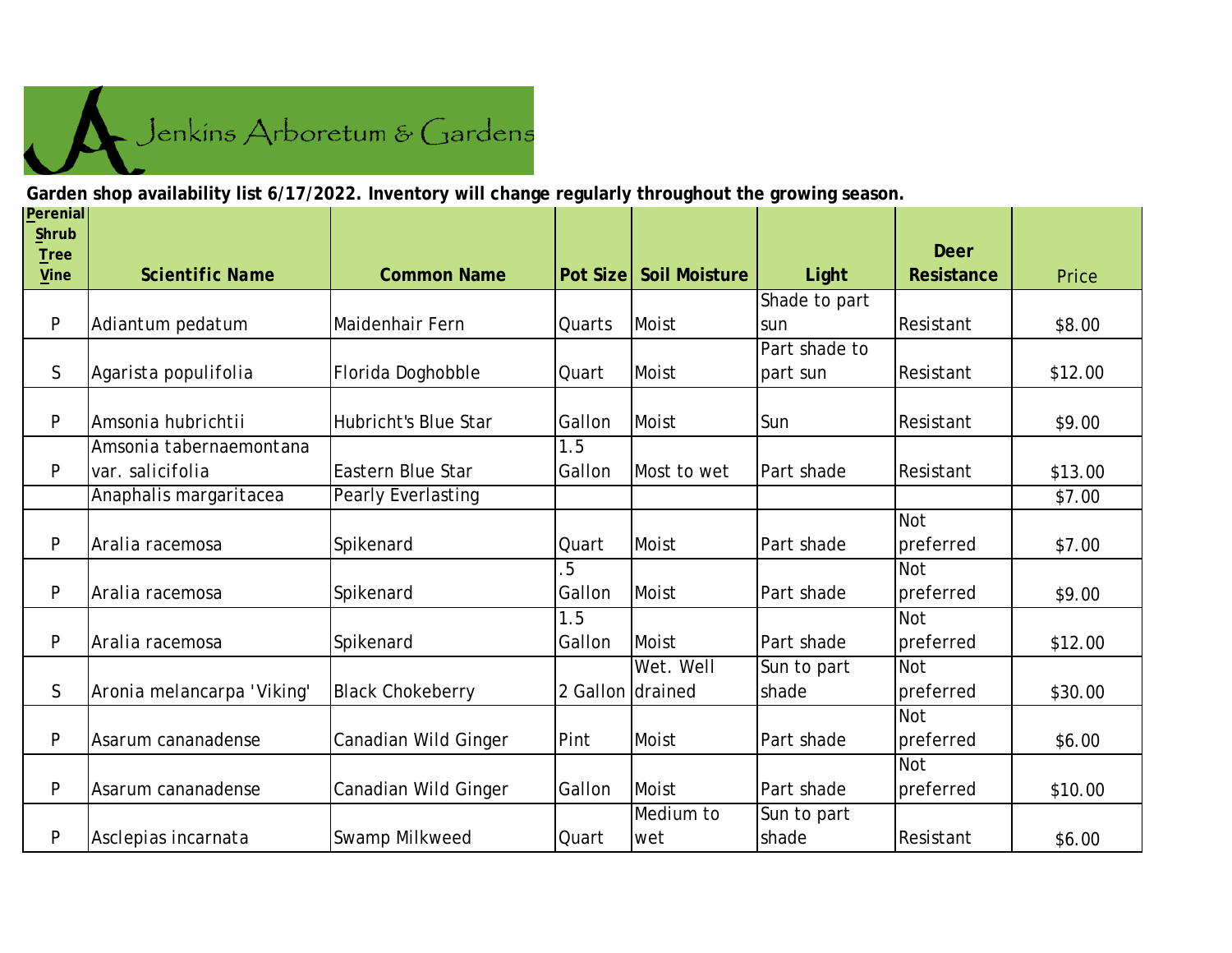

**Garden shop availability list 6/17/2022. Inventory will change regularly throughout the growing season.**

| Perenial<br>Shrub          |                            |                             |                  |                      |               | <b>Deer</b> |         |
|----------------------------|----------------------------|-----------------------------|------------------|----------------------|---------------|-------------|---------|
| <b>Tree</b><br><b>Vine</b> | <b>Scientific Name</b>     | <b>Common Name</b>          | <b>Pot Size</b>  | <b>Soil Moisture</b> | Light         | Resistance  | Price   |
|                            |                            |                             |                  |                      | Shade to part |             |         |
| P                          | Adiantum pedatum           | Maidenhair Fern             | Quarts           | Moist                | sun           | Resistant   | \$8.00  |
|                            |                            |                             |                  |                      | Part shade to |             |         |
| $\mathsf{S}$               | Agarista populifolia       | Florida Doghobble           | Quart            | Moist                | part sun      | Resistant   | \$12.00 |
| P                          | Amsonia hubrichtii         | <b>Hubricht's Blue Star</b> | Gallon           | Moist                | Sun           | Resistant   | \$9.00  |
|                            | Amsonia tabernaemontana    |                             | 1.5              |                      |               |             |         |
| P                          | var. salicifolia           | <b>Eastern Blue Star</b>    | Gallon           | Most to wet          | Part shade    | Resistant   | \$13.00 |
|                            | Anaphalis margaritacea     | Pearly Everlasting          |                  |                      |               |             | \$7.00  |
|                            |                            |                             |                  |                      |               | <b>Not</b>  |         |
| P                          | Aralia racemosa            | Spikenard                   | Quart            | Moist                | Part shade    | preferred   | \$7.00  |
|                            |                            |                             | 5                |                      |               | <b>Not</b>  |         |
| $\mathsf{P}$               | Aralia racemosa            | Spikenard                   | Gallon           | <b>Moist</b>         | Part shade    | preferred   | \$9.00  |
|                            |                            |                             | 1.5              |                      |               | <b>Not</b>  |         |
| $\mathsf{P}$               | Aralia racemosa            | Spikenard                   | Gallon           | Moist                | Part shade    | preferred   | \$12.00 |
|                            |                            |                             |                  | Wet. Well            | Sun to part   | <b>Not</b>  |         |
| $\mathsf S$                | Aronia melancarpa 'Viking' | <b>Black Chokeberry</b>     | 2 Gallon drained |                      | shade         | preferred   | \$30.00 |
|                            |                            |                             |                  |                      |               | <b>Not</b>  |         |
| P                          | Asarum cananadense         | Canadian Wild Ginger        | Pint             | Moist                | Part shade    | preferred   | \$6.00  |
|                            |                            |                             |                  |                      |               | <b>Not</b>  |         |
| P                          | Asarum cananadense         | Canadian Wild Ginger        | Gallon           | Moist                | Part shade    | preferred   | \$10.00 |
|                            |                            |                             |                  | Medium to            | Sun to part   |             |         |
| P                          | Asclepias incarnata        | Swamp Milkweed              | Quart            | wet                  | shade         | Resistant   | \$6.00  |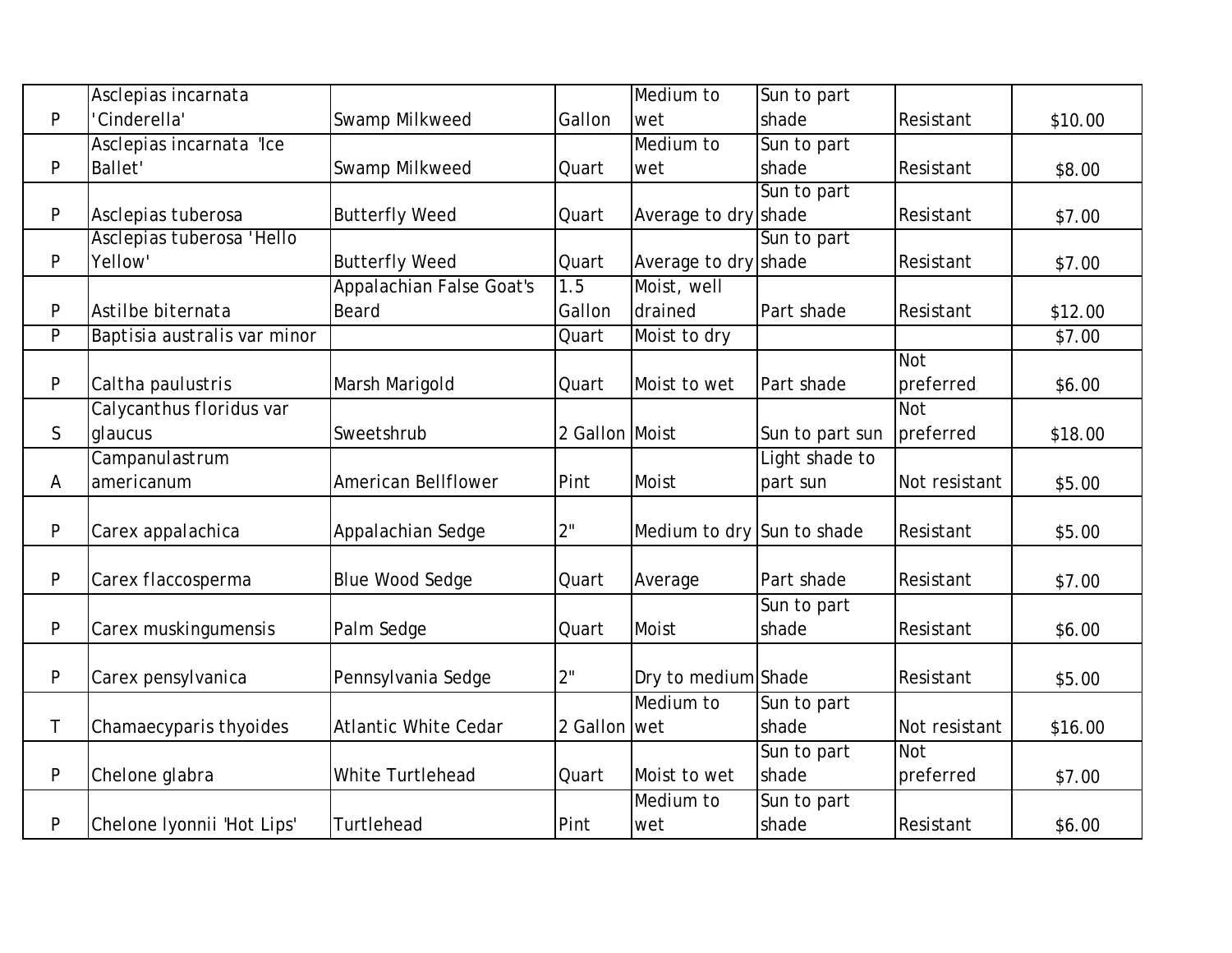|   | Asclepias incarnata          |                                 |                | Medium to                  | Sun to part     |               |         |
|---|------------------------------|---------------------------------|----------------|----------------------------|-----------------|---------------|---------|
| P | 'Cinderella'                 | Swamp Milkweed                  | Gallon         | wet                        | shade           | Resistant     | \$10.00 |
|   | Asclepias incarnata 'Ice     |                                 |                | Medium to                  | Sun to part     |               |         |
| P | <b>Ballet'</b>               | Swamp Milkweed                  | Quart          | wet                        | shade           | Resistant     | \$8.00  |
|   |                              |                                 |                |                            | Sun to part     |               |         |
| P | Asclepias tuberosa           | <b>Butterfly Weed</b>           | Quart          | Average to dry shade       |                 | Resistant     | \$7.00  |
|   | Asclepias tuberosa 'Hello    |                                 |                |                            | Sun to part     |               |         |
| P | Yellow'                      | <b>Butterfly Weed</b>           | Quart          | Average to dry shade       |                 | Resistant     | \$7.00  |
|   |                              | <b>Appalachian False Goat's</b> | 1.5            | Moist, well                |                 |               |         |
| P | Astilbe biternata            | Beard                           | Gallon         | drained                    | Part shade      | Resistant     | \$12.00 |
| P | Baptisia australis var minor |                                 | Quart          | Moist to dry               |                 |               | \$7.00  |
|   |                              |                                 |                |                            |                 | <b>Not</b>    |         |
| P | Caltha paulustris            | Marsh Marigold                  | Quart          | Moist to wet               | Part shade      | preferred     | \$6.00  |
|   | Calycanthus floridus var     |                                 |                |                            |                 | <b>Not</b>    |         |
| S | glaucus                      | Sweetshrub                      | 2 Gallon Moist |                            | Sun to part sun | preferred     | \$18.00 |
|   | Campanulastrum               |                                 |                |                            | Light shade to  |               |         |
| Α | americanum                   | American Bellflower             | Pint           | Moist                      | part sun        | Not resistant | \$5.00  |
|   |                              |                                 |                |                            |                 |               |         |
| P | Carex appalachica            | Appalachian Sedge               | 2"             | Medium to dry Sun to shade |                 | Resistant     | \$5.00  |
|   |                              |                                 |                |                            |                 |               |         |
| P | Carex flaccosperma           | <b>Blue Wood Sedge</b>          | Quart          | Average                    | Part shade      | Resistant     | \$7.00  |
|   |                              |                                 |                |                            | Sun to part     |               |         |
| P | Carex muskingumensis         | Palm Sedge                      | Quart          | Moist                      | shade           | Resistant     | \$6.00  |
|   |                              |                                 |                |                            |                 |               |         |
| P | Carex pensylvanica           | Pennsylvania Sedge              | 2"             | Dry to medium Shade        |                 | Resistant     | \$5.00  |
|   |                              |                                 |                | Medium to                  | Sun to part     |               |         |
| Τ | Chamaecyparis thyoides       | <b>Atlantic White Cedar</b>     | 2 Gallon wet   |                            | shade           | Not resistant | \$16.00 |
|   |                              |                                 |                |                            | Sun to part     | <b>Not</b>    |         |
| P | Chelone glabra               | White Turtlehead                | Quart          | Moist to wet               | shade           | preferred     | \$7.00  |
|   |                              |                                 |                | Medium to                  | Sun to part     |               |         |
| P | Chelone Iyonnii 'Hot Lips'   | Turtlehead                      | Pint           | wet                        | shade           | Resistant     | \$6.00  |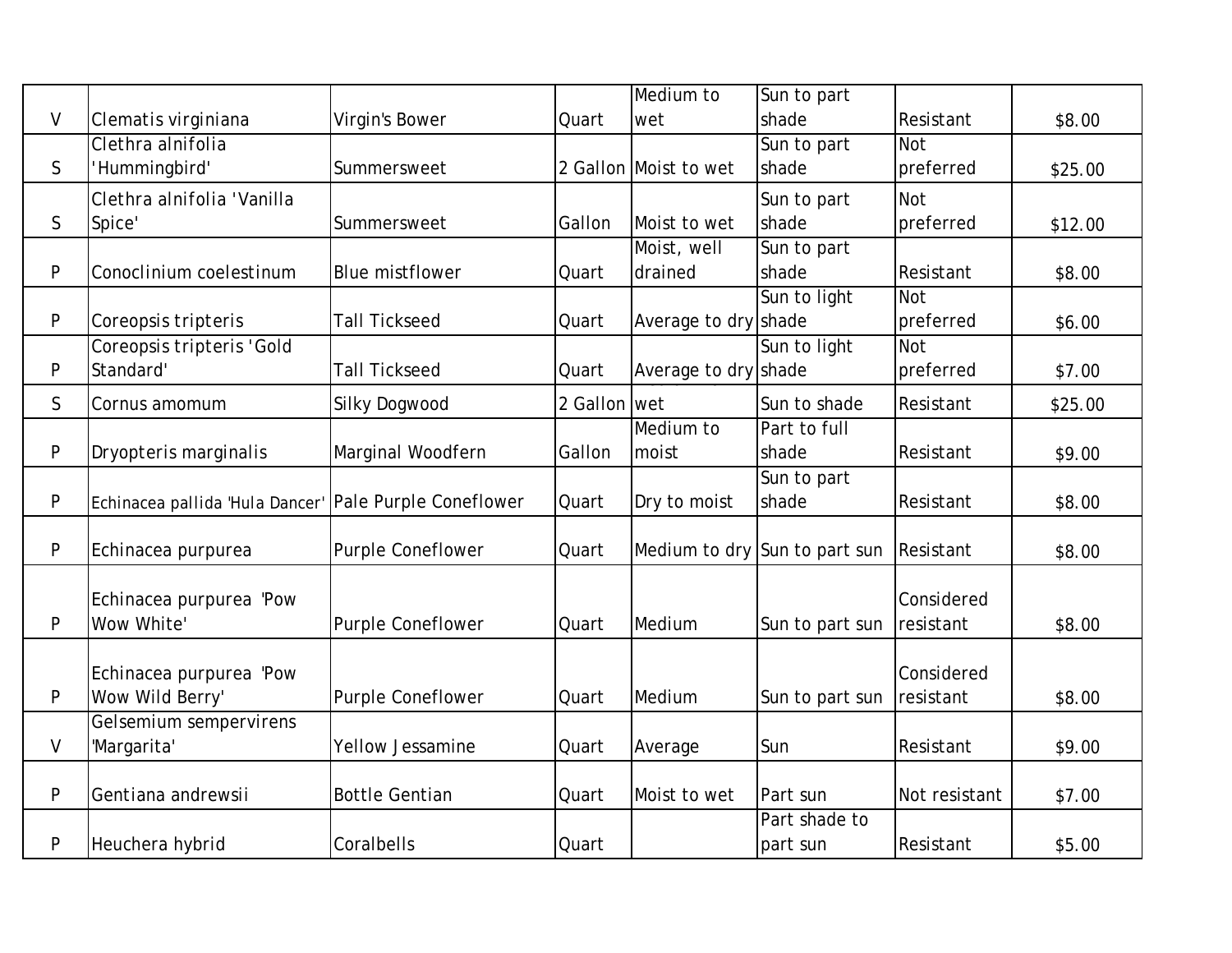|              |                                 |                          |              | Medium to             | Sun to part                   |               |         |
|--------------|---------------------------------|--------------------------|--------------|-----------------------|-------------------------------|---------------|---------|
| $\vee$       | Clematis virginiana             | Virgin's Bower           | Quart        | wet                   | shade                         | Resistant     | \$8.00  |
|              | Clethra alnifolia               |                          |              |                       | Sun to part                   | <b>Not</b>    |         |
| $\mathsf{S}$ | Hummingbird'                    | Summersweet              |              | 2 Gallon Moist to wet | shade                         | preferred     | \$25.00 |
|              | Clethra alnifolia 'Vanilla      |                          |              |                       | Sun to part                   | <b>Not</b>    |         |
| S            | Spice'                          | Summersweet              | Gallon       | Moist to wet          | shade                         | preferred     | \$12.00 |
|              |                                 |                          |              | Moist, well           | Sun to part                   |               |         |
| P            | Conoclinium coelestinum         | <b>Blue mistflower</b>   | Quart        | drained               | shade                         | Resistant     | \$8.00  |
|              |                                 |                          |              |                       | Sun to light                  | <b>Not</b>    |         |
| P            | Coreopsis tripteris             | <b>Tall Tickseed</b>     | Quart        | Average to dry shade  |                               | preferred     | \$6.00  |
|              | Coreopsis tripteris 'Gold       |                          |              |                       | Sun to light                  | <b>Not</b>    |         |
| P            | Standard'                       | <b>Tall Tickseed</b>     | Quart        | Average to dry shade  |                               | preferred     | \$7.00  |
| $\mathsf{S}$ | Cornus amomum                   | Silky Dogwood            | 2 Gallon wet |                       | Sun to shade                  | Resistant     | \$25.00 |
|              |                                 |                          |              | Medium to             | Part to full                  |               |         |
| P            | Dryopteris marginalis           | Marginal Woodfern        | Gallon       | moist                 | shade                         | Resistant     | \$9.00  |
|              |                                 |                          |              |                       | Sun to part                   |               |         |
| P            | Echinacea pallida 'Hula Dancer' | Pale Purple Coneflower   | Quart        | Dry to moist          | shade                         | Resistant     | \$8.00  |
|              |                                 |                          |              |                       |                               |               |         |
| P            | Echinacea purpurea              | <b>Purple Coneflower</b> | Quart        |                       | Medium to dry Sun to part sun | Resistant     | \$8.00  |
|              |                                 |                          |              |                       |                               |               |         |
|              | Echinacea purpurea 'Pow         |                          |              |                       |                               | Considered    |         |
| P            | Wow White'                      | <b>Purple Coneflower</b> | Quart        | Medium                | Sun to part sun               | resistant     | \$8.00  |
|              |                                 |                          |              |                       |                               |               |         |
|              | Echinacea purpurea 'Pow         |                          |              |                       |                               | Considered    |         |
| P            | Wow Wild Berry'                 | Purple Coneflower        | Quart        | Medium                | Sun to part sun               | resistant     | \$8.00  |
|              | Gelsemium sempervirens          |                          |              |                       |                               |               |         |
| $\vee$       | 'Margarita'                     | <b>Yellow Jessamine</b>  | Quart        | Average               | Sun                           | Resistant     | \$9.00  |
| P            | Gentiana andrewsii              | <b>Bottle Gentian</b>    | Quart        | Moist to wet          | Part sun                      | Not resistant | \$7.00  |
|              |                                 |                          |              |                       | Part shade to                 |               |         |
| P            | Heuchera hybrid                 | Coralbells               | Quart        |                       | part sun                      | Resistant     | \$5.00  |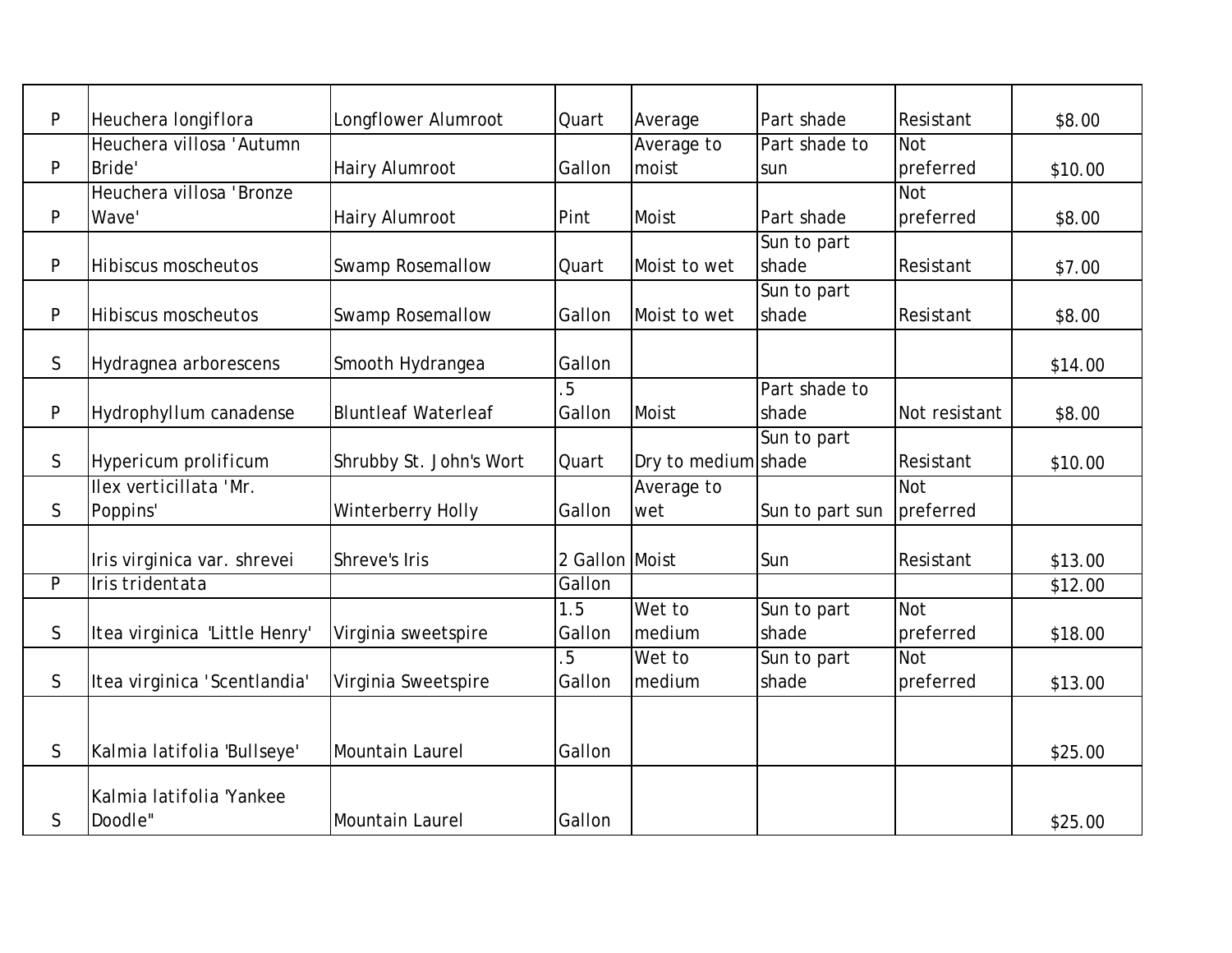| P            | Heuchera longiflora           | Longflower Alumroot        | Quart          | Average             | Part shade      | Resistant     | \$8.00  |
|--------------|-------------------------------|----------------------------|----------------|---------------------|-----------------|---------------|---------|
|              | Heuchera villosa 'Autumn      |                            |                | Average to          | Part shade to   | Not           |         |
| P            | Bride'                        | Hairy Alumroot             | Gallon         | moist               | sun             | preferred     | \$10.00 |
|              | Heuchera villosa 'Bronze      |                            |                |                     |                 | <b>Not</b>    |         |
| P            | Wave'                         | <b>Hairy Alumroot</b>      | Pint           | <b>Moist</b>        | Part shade      | preferred     | \$8.00  |
|              |                               |                            |                |                     | Sun to part     |               |         |
| P            | Hibiscus moscheutos           | <b>Swamp Rosemallow</b>    | Quart          | Moist to wet        | shade           | Resistant     | \$7.00  |
|              |                               |                            |                |                     | Sun to part     |               |         |
| P            | <b>Hibiscus moscheutos</b>    | <b>Swamp Rosemallow</b>    | Gallon         | Moist to wet        | shade           | Resistant     | \$8.00  |
|              |                               |                            |                |                     |                 |               |         |
| S            | Hydragnea arborescens         | Smooth Hydrangea           | Gallon         |                     |                 |               | \$14.00 |
|              |                               |                            | 5              |                     | Part shade to   |               |         |
| $\mathsf{P}$ | Hydrophyllum canadense        | <b>Bluntleaf Waterleaf</b> | Gallon         | Moist               | shade           | Not resistant | \$8.00  |
|              |                               |                            |                |                     | Sun to part     |               |         |
| $\mathsf{S}$ | Hypericum prolificum          | Shrubby St. John's Wort    | Quart          | Dry to medium shade |                 | Resistant     | \$10.00 |
|              | Ilex verticillata 'Mr.        |                            |                | Average to          |                 | <b>Not</b>    |         |
| $\mathsf{S}$ | Poppins'                      | Winterberry Holly          | Gallon         | wet                 | Sun to part sun | preferred     |         |
|              |                               |                            |                |                     |                 |               |         |
|              | Iris virginica var. shrevei   | Shreve's Iris              | 2 Gallon Moist |                     | Sun             | Resistant     | \$13.00 |
| P            | Iris tridentata               |                            | Gallon         |                     |                 |               | \$12.00 |
|              |                               |                            | 1.5            | Wet to              | Sun to part     | <b>Not</b>    |         |
| $\mathsf{S}$ | Itea virginica 'Little Henry' | Virginia sweetspire        | Gallon         | medium              | shade           | preferred     | \$18.00 |
|              |                               |                            | 5              | Wet to              | Sun to part     | <b>Not</b>    |         |
| $\mathsf{S}$ | Itea virginica 'Scentlandia'  | Virginia Sweetspire        | Gallon         | medium              | shade           | preferred     | \$13.00 |
|              |                               |                            |                |                     |                 |               |         |
|              |                               |                            |                |                     |                 |               |         |
| $\mathsf{S}$ | Kalmia latifolia 'Bullseye'   | Mountain Laurel            | Gallon         |                     |                 |               | \$25.00 |
|              |                               |                            |                |                     |                 |               |         |
|              | Kalmia latifolia 'Yankee      |                            |                |                     |                 |               |         |
| $\mathsf{S}$ | Doodle"                       | Mountain Laurel            | Gallon         |                     |                 |               | \$25.00 |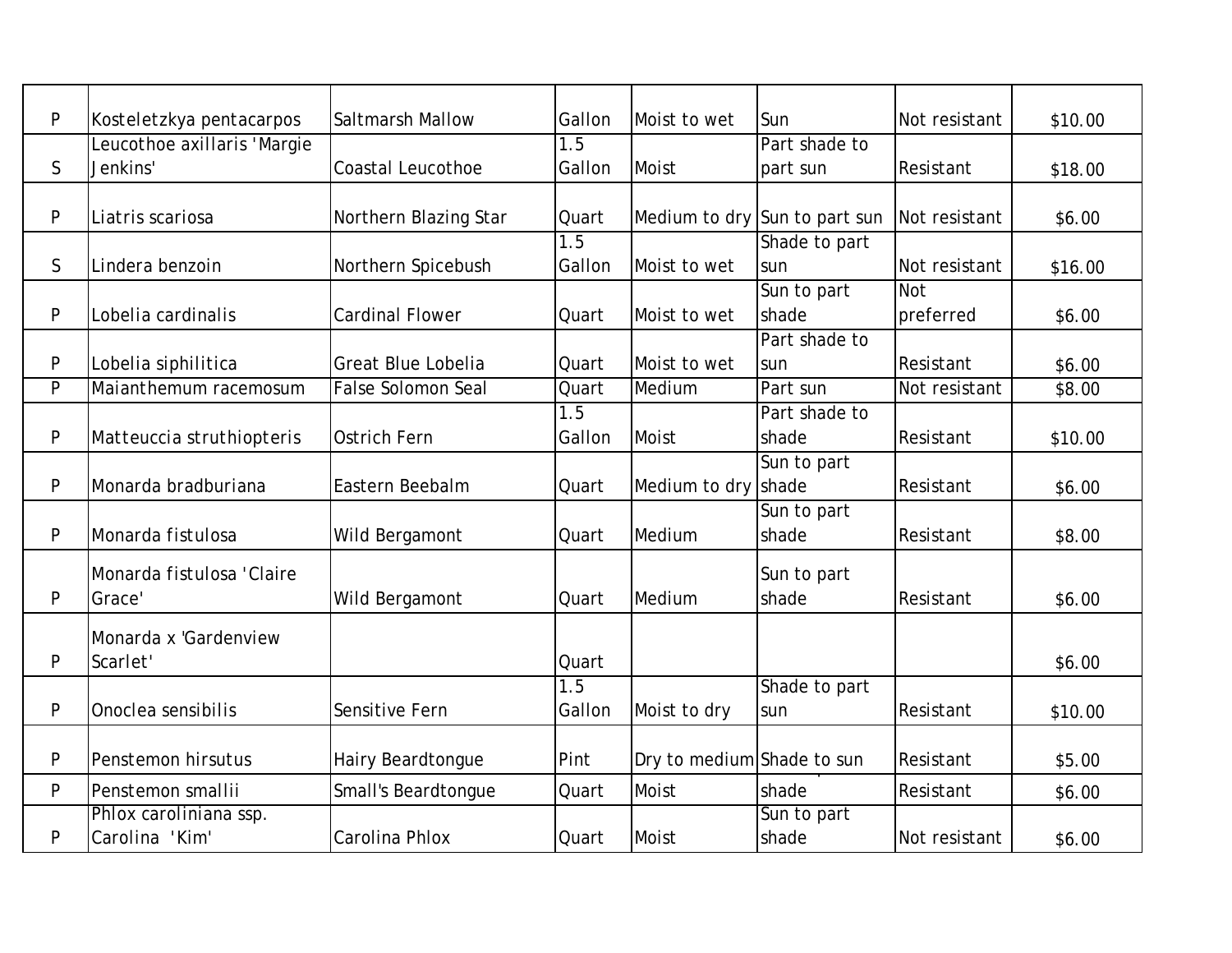| P            | Kosteletzkya pentacarpos    | Saltmarsh Mallow          | Gallon | Moist to wet               | Sun                           | Not resistant | \$10.00 |
|--------------|-----------------------------|---------------------------|--------|----------------------------|-------------------------------|---------------|---------|
|              | Leucothoe axillaris 'Margie |                           | 1.5    |                            | Part shade to                 |               |         |
| $\mathsf{S}$ | Jenkins'                    | <b>Coastal Leucothoe</b>  | Gallon | Moist                      | part sun                      | Resistant     | \$18.00 |
|              |                             |                           |        |                            |                               |               |         |
| P            | Liatris scariosa            | Northern Blazing Star     | Quart  |                            | Medium to dry Sun to part sun | Not resistant | \$6.00  |
|              |                             |                           | 1.5    |                            | Shade to part                 |               |         |
| S.           | Lindera benzoin             | Northern Spicebush        | Gallon | Moist to wet               | sun                           | Not resistant | \$16.00 |
|              |                             |                           |        |                            | Sun to part                   | <b>Not</b>    |         |
| ${\sf P}$    | Lobelia cardinalis          | <b>Cardinal Flower</b>    | Quart  | Moist to wet               | shade                         | preferred     | \$6.00  |
|              |                             |                           |        |                            | Part shade to                 |               |         |
| P            | Lobelia siphilitica         | <b>Great Blue Lobelia</b> | Quart  | Moist to wet               | sun                           | Resistant     | \$6.00  |
| P            | Maianthemum racemosum       | <b>False Solomon Seal</b> | Quart  | Medium                     | Part sun                      | Not resistant | \$8.00  |
|              |                             |                           | 1.5    |                            | Part shade to                 |               |         |
| P            | Matteuccia struthiopteris   | <b>Ostrich Fern</b>       | Gallon | Moist                      | shade                         | Resistant     | \$10.00 |
|              |                             |                           |        |                            | Sun to part                   |               |         |
| P            | Monarda bradburiana         | Eastern Beebalm           | Quart  | Medium to dry shade        |                               | Resistant     | \$6.00  |
|              |                             |                           |        |                            | Sun to part                   |               |         |
| P            | Monarda fistulosa           | Wild Bergamont            | Quart  | Medium                     | shade                         | Resistant     | \$8.00  |
|              |                             |                           |        |                            |                               |               |         |
|              | Monarda fistulosa 'Claire   |                           |        |                            | Sun to part                   |               |         |
| P            | Grace'                      | Wild Bergamont            | Quart  | Medium                     | shade                         | Resistant     | \$6.00  |
|              | Monarda x 'Gardenview       |                           |        |                            |                               |               |         |
| P            | Scarlet'                    |                           | Quart  |                            |                               |               | \$6.00  |
|              |                             |                           | 1.5    |                            | Shade to part                 |               |         |
| P            | Onoclea sensibilis          | Sensitive Fern            | Gallon | Moist to dry               | sun                           | Resistant     | \$10.00 |
|              |                             |                           |        |                            |                               |               |         |
| P            | Penstemon hirsutus          | Hairy Beardtongue         | Pint   | Dry to medium Shade to sun |                               | Resistant     | \$5.00  |
| P            | Penstemon smallii           | Small's Beardtongue       | Quart  | Moist                      | shade                         | Resistant     | \$6.00  |
|              | Phlox caroliniana ssp.      |                           |        |                            | Sun to part                   |               |         |
| P            | Carolina 'Kim'              | Carolina Phlox            | Quart  | <b>Moist</b>               | shade                         | Not resistant | \$6.00  |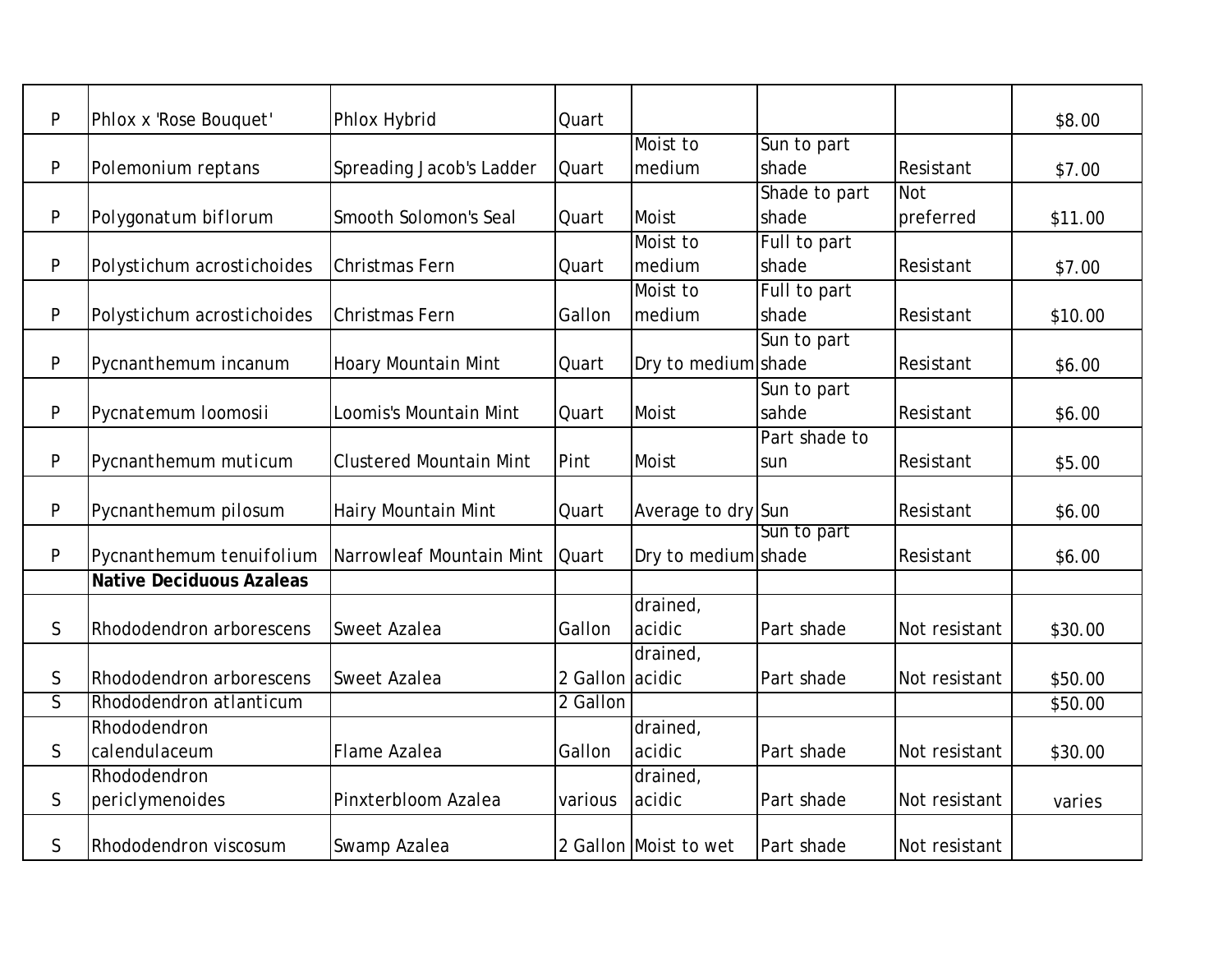| P                       | Phlox x 'Rose Bouquet'          | Phlox Hybrid                   | Quart           |                       |               |               | \$8.00  |
|-------------------------|---------------------------------|--------------------------------|-----------------|-----------------------|---------------|---------------|---------|
|                         |                                 |                                |                 | Moist to              | Sun to part   |               |         |
| P                       | Polemonium reptans              | Spreading Jacob's Ladder       | Quart           | medium                | shade         | Resistant     | \$7.00  |
|                         |                                 |                                |                 |                       | Shade to part | <b>Not</b>    |         |
| P                       | Polygonatum biflorum            | Smooth Solomon's Seal          | Quart           | Moist                 | shade         | preferred     | \$11.00 |
|                         |                                 |                                |                 | Moist to              | Full to part  |               |         |
| P                       | Polystichum acrostichoides      | Christmas Fern                 | Quart           | medium                | shade         | Resistant     | \$7.00  |
|                         |                                 |                                |                 | Moist to              | Full to part  |               |         |
| P                       | Polystichum acrostichoides      | Christmas Fern                 | Gallon          | medium                | shade         | Resistant     | \$10.00 |
|                         |                                 |                                |                 |                       | Sun to part   |               |         |
| P                       | Pycnanthemum incanum            | Hoary Mountain Mint            | Quart           | Dry to medium shade   |               | Resistant     | \$6.00  |
|                         |                                 |                                |                 |                       | Sun to part   |               |         |
| P                       | Pycnatemum loomosii             | Loomis's Mountain Mint         | Quart           | Moist                 | sahde         | Resistant     | \$6.00  |
|                         |                                 |                                |                 |                       | Part shade to |               |         |
| P                       | Pycnanthemum muticum            | <b>Clustered Mountain Mint</b> | Pint            | Moist                 | sun           | Resistant     | \$5.00  |
|                         |                                 |                                |                 |                       |               |               |         |
| P                       | Pycnanthemum pilosum            | Hairy Mountain Mint            | Quart           | Average to dry Sun    |               | Resistant     | \$6.00  |
|                         |                                 |                                |                 |                       | Sun to part   |               |         |
| P                       | Pycnanthemum tenuifolium        | Narrowleaf Mountain Mint       | Quart           | Dry to medium shade   |               | Resistant     | \$6.00  |
|                         | <b>Native Deciduous Azaleas</b> |                                |                 |                       |               |               |         |
|                         |                                 |                                |                 | drained,              |               |               |         |
| S                       | Rhododendron arborescens        | <b>Sweet Azalea</b>            | Gallon          | acidic                | Part shade    | Not resistant | \$30.00 |
|                         |                                 |                                |                 | drained,              |               |               |         |
| S                       | Rhododendron arborescens        | <b>Sweet Azalea</b>            | 2 Gallon acidic |                       | Part shade    | Not resistant | \$50.00 |
| $\overline{\mathsf{S}}$ | Rhododendron atlanticum         |                                | 2 Gallon        |                       |               |               | \$50.00 |
|                         | Rhododendron                    |                                |                 | drained,              |               |               |         |
| $\mathsf{S}$            | calendulaceum                   | Flame Azalea                   | Gallon          | acidic                | Part shade    | Not resistant | \$30.00 |
|                         | Rhododendron                    |                                |                 | drained,              |               |               |         |
| S                       | periclymenoides                 | Pinxterbloom Azalea            | various         | acidic                | Part shade    | Not resistant | varies  |
| S                       | Rhododendron viscosum           | Swamp Azalea                   |                 | 2 Gallon Moist to wet | Part shade    | Not resistant |         |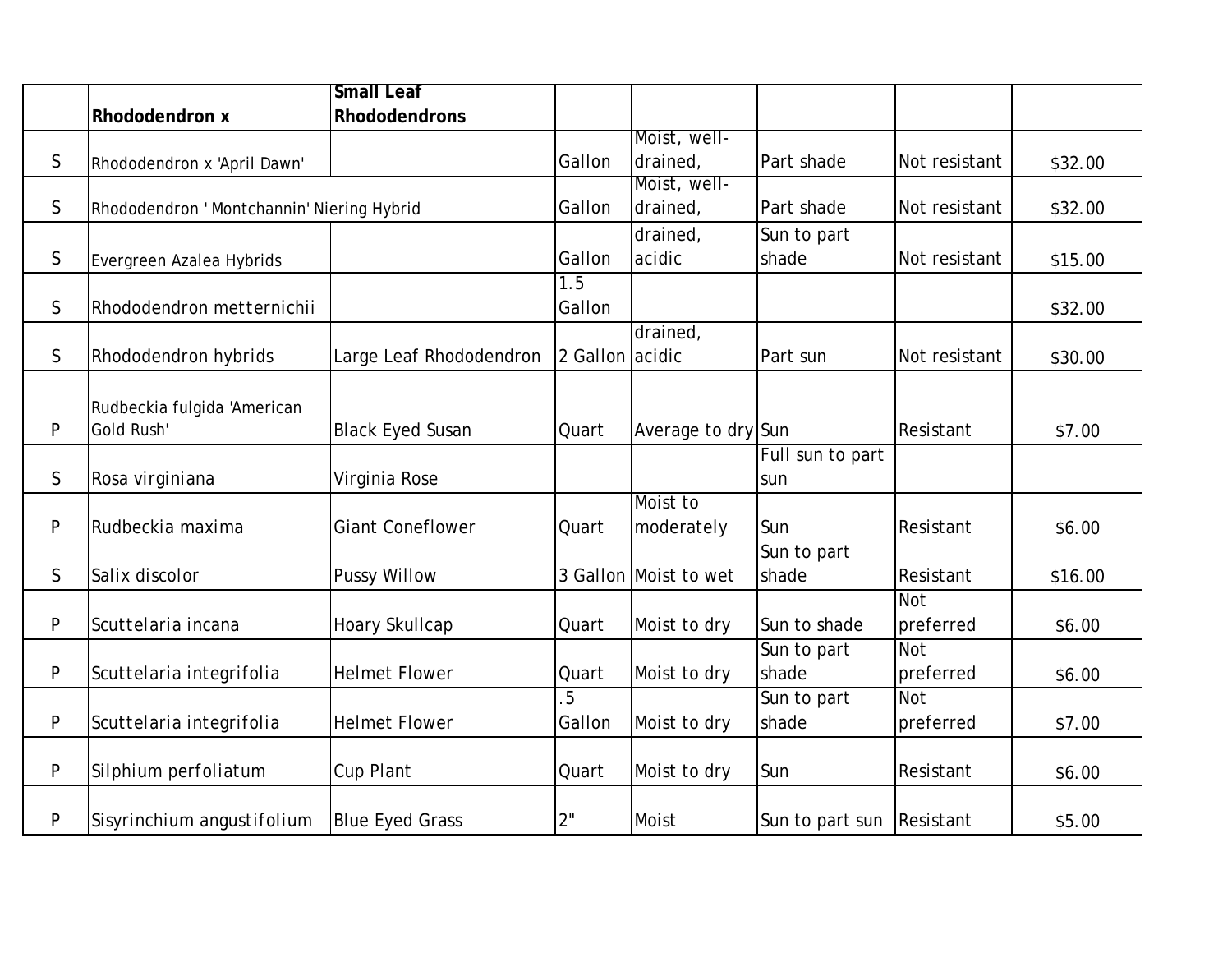|              |                                            | <b>Small Leaf</b>       |                 |                       |                           |               |         |
|--------------|--------------------------------------------|-------------------------|-----------------|-----------------------|---------------------------|---------------|---------|
|              | Rhododendron x                             | <b>Rhododendrons</b>    |                 |                       |                           |               |         |
|              |                                            |                         |                 | Moist, well-          |                           |               |         |
| $\mathsf S$  | Rhododendron x 'April Dawn'                |                         | Gallon          | drained,              | Part shade                | Not resistant | \$32.00 |
|              |                                            |                         |                 | Moist, well-          |                           |               |         |
| $\mathsf S$  | Rhododendron ' Montchannin' Niering Hybrid |                         | Gallon          | drained,              | Part shade                | Not resistant | \$32.00 |
|              |                                            |                         |                 | drained,              | Sun to part               |               |         |
| $\mathsf{S}$ | Evergreen Azalea Hybrids                   |                         | Gallon          | acidic                | shade                     | Not resistant | \$15.00 |
|              |                                            |                         | 1.5             |                       |                           |               |         |
| $\mathsf S$  | Rhododendron metternichii                  |                         | Gallon          |                       |                           |               | \$32.00 |
|              |                                            |                         |                 | drained,              |                           |               |         |
| $\mathsf S$  | Rhododendron hybrids                       | Large Leaf Rhododendron | 2 Gallon acidic |                       | Part sun                  | Not resistant | \$30.00 |
|              |                                            |                         |                 |                       |                           |               |         |
|              | Rudbeckia fulgida 'American                |                         |                 |                       |                           |               |         |
| $\mathsf{P}$ | Gold Rush'                                 | <b>Black Eyed Susan</b> | Quart           | Average to dry Sun    |                           | Resistant     | \$7.00  |
|              |                                            |                         |                 |                       | Full sun to part          |               |         |
| $\mathsf{S}$ | Rosa virginiana                            | Virginia Rose           |                 |                       | sun                       |               |         |
|              |                                            |                         |                 | Moist to              |                           |               |         |
| P            | Rudbeckia maxima                           | <b>Giant Coneflower</b> | Quart           | moderately            | Sun                       | Resistant     | \$6.00  |
|              |                                            |                         |                 |                       | Sun to part               |               |         |
| $\mathsf{S}$ | Salix discolor                             | <b>Pussy Willow</b>     |                 | 3 Gallon Moist to wet | shade                     | Resistant     | \$16.00 |
|              |                                            |                         |                 |                       |                           | <b>Not</b>    |         |
| P            | Scuttelaria incana                         | Hoary Skullcap          | Quart           | Moist to dry          | Sun to shade              | preferred     | \$6.00  |
|              |                                            |                         |                 |                       | Sun to part               | <b>Not</b>    |         |
| P            | Scuttelaria integrifolia                   | <b>Helmet Flower</b>    | Quart           | Moist to dry          | shade                     | preferred     | \$6.00  |
|              |                                            |                         | 5               |                       | Sun to part               | <b>Not</b>    |         |
| P            | Scuttelaria integrifolia                   | <b>Helmet Flower</b>    | Gallon          | Moist to dry          | shade                     | preferred     | \$7.00  |
|              |                                            |                         |                 |                       |                           |               |         |
| P            | Silphium perfoliatum                       | Cup Plant               | Quart           | Moist to dry          | Sun                       | Resistant     | \$6.00  |
|              |                                            |                         |                 |                       |                           |               |         |
| P            | Sisyrinchium angustifolium                 | <b>Blue Eyed Grass</b>  | 2"              | Moist                 | Sun to part sun Resistant |               | \$5.00  |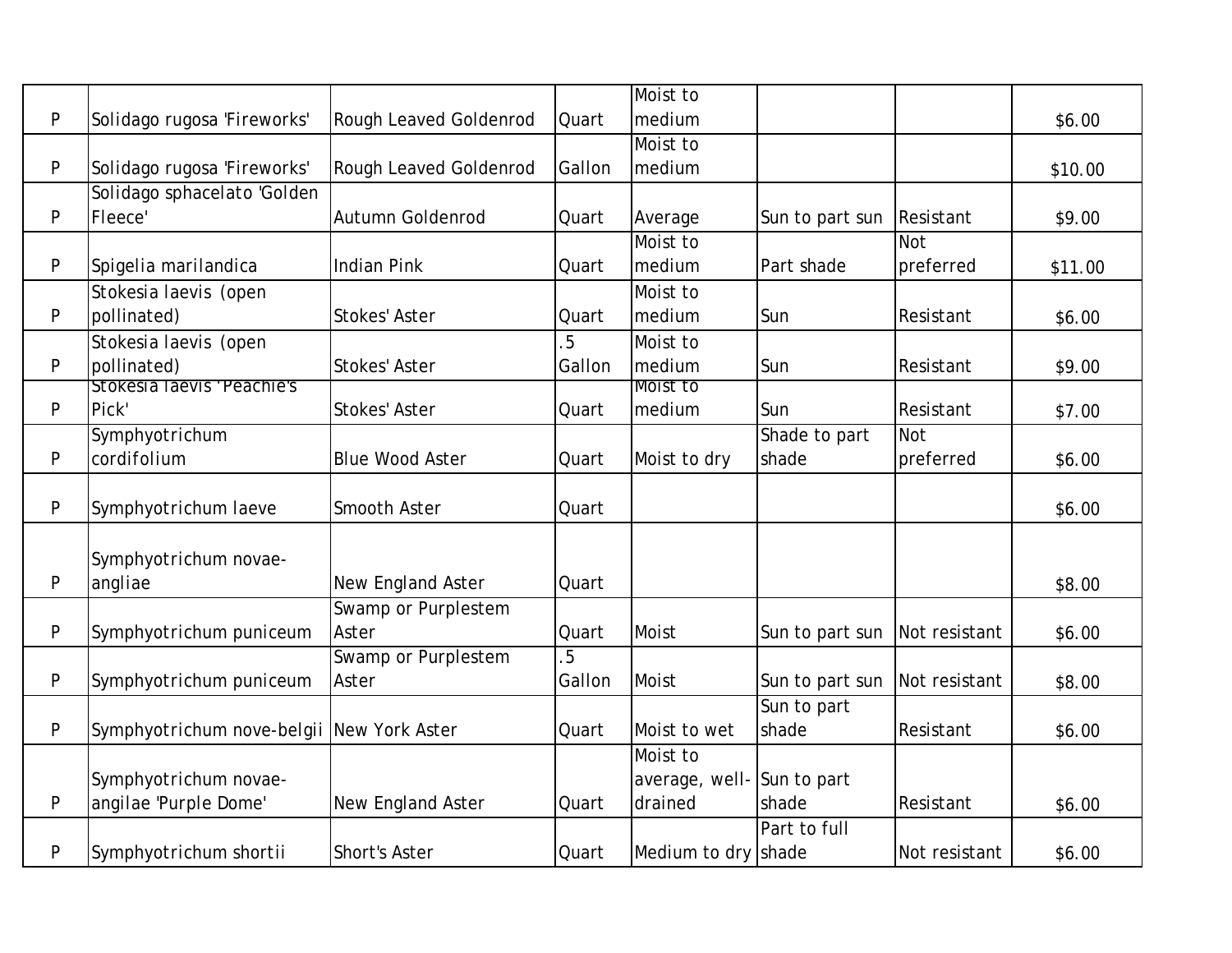|   |                                           |                        |                | Moist to                   |                 |               |         |
|---|-------------------------------------------|------------------------|----------------|----------------------------|-----------------|---------------|---------|
| P | Solidago rugosa 'Fireworks'               | Rough Leaved Goldenrod | Quart          | medium                     |                 |               | \$6.00  |
|   |                                           |                        |                | Moist to                   |                 |               |         |
| P | Solidago rugosa 'Fireworks'               | Rough Leaved Goldenrod | Gallon         | medium                     |                 |               | \$10.00 |
|   | Solidago sphacelato 'Golden               |                        |                |                            |                 |               |         |
| P | Fleece'                                   | Autumn Goldenrod       | Quart          | Average                    | Sun to part sun | Resistant     | \$9.00  |
|   |                                           |                        |                | Moist to                   |                 | <b>Not</b>    |         |
| P | Spigelia marilandica                      | <b>Indian Pink</b>     | Quart          | medium                     | Part shade      | preferred     | \$11.00 |
|   | Stokesia laevis (open                     |                        |                | Moist to                   |                 |               |         |
| P | pollinated)                               | <b>Stokes' Aster</b>   | Quart          | medium                     | Sun             | Resistant     | \$6.00  |
|   | Stokesia laevis (open                     |                        | 5              | Moist to                   |                 |               |         |
| P | pollinated)                               | <b>Stokes' Aster</b>   | Gallon         | medium                     | Sun             | Resistant     | \$9.00  |
|   | Stokesia laevis 'Peachie's                |                        |                | Moist to                   |                 |               |         |
| P | Pick'                                     | <b>Stokes' Aster</b>   | Quart          | medium                     | Sun             | Resistant     | \$7.00  |
|   | Symphyotrichum                            |                        |                |                            | Shade to part   | <b>Not</b>    |         |
| P | cordifolium                               | <b>Blue Wood Aster</b> | Quart          | Moist to dry               | shade           | preferred     | \$6.00  |
|   |                                           |                        |                |                            |                 |               |         |
| P | Symphyotrichum laeve                      | Smooth Aster           | Quart          |                            |                 |               | \$6.00  |
|   |                                           |                        |                |                            |                 |               |         |
|   | Symphyotrichum novae-                     |                        |                |                            |                 |               |         |
| P | angliae                                   | New England Aster      | <b>Quart</b>   |                            |                 |               | \$8.00  |
|   |                                           | Swamp or Purplestem    |                |                            |                 |               |         |
| P | Symphyotrichum puniceum                   | Aster                  | Quart          | Moist                      | Sun to part sun | Not resistant | \$6.00  |
|   |                                           | Swamp or Purplestem    | $\overline{5}$ |                            |                 |               |         |
| P | Symphyotrichum puniceum                   | Aster                  | Gallon         | Moist                      | Sun to part sun | Not resistant | \$8.00  |
|   |                                           |                        |                |                            | Sun to part     |               |         |
| P | Symphyotrichum nove-belgii New York Aster |                        | Quart          | Moist to wet               | shade           | Resistant     | \$6.00  |
|   |                                           |                        |                | Moist to                   |                 |               |         |
|   | Symphyotrichum novae-                     |                        |                | average, well- Sun to part |                 |               |         |
| P | angilae 'Purple Dome'                     | New England Aster      | Quart          | drained                    | shade           | Resistant     | \$6.00  |
|   |                                           |                        |                |                            | Part to full    |               |         |
| P | Symphyotrichum shortii                    | <b>Short's Aster</b>   | Quart          | Medium to dry shade        |                 | Not resistant | \$6.00  |